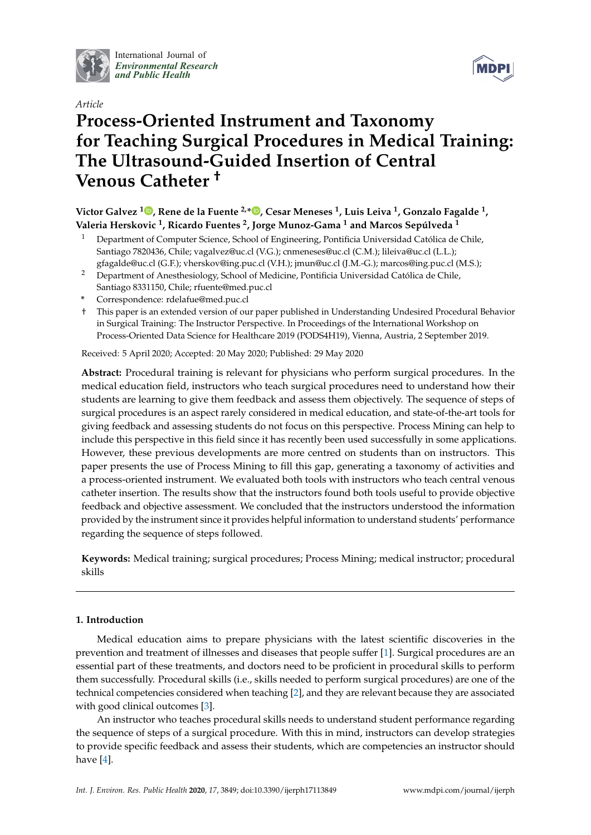

International Journal of *[Environmental Research](http://www.mdpi.com/journal/ijerph) and Public Health*



# *Article* **Process-Oriented Instrument and Taxonomy for Teaching Surgical Procedures in Medical Training: The Ultrasound-Guided Insertion of Central Venous Catheter †**

**Victor Galvez <sup>1</sup> [,](https://orcid.org/0000-0003-1789-703X) Rene de la Fuente 2,[\\*](https://orcid.org/0000-0001-7187-3405) , Cesar Meneses <sup>1</sup> , Luis Leiva <sup>1</sup> , Gonzalo Fagalde <sup>1</sup> , Valeria Herskovic <sup>1</sup> , Ricardo Fuentes <sup>2</sup> , Jorge Munoz-Gama <sup>1</sup> and Marcos Sepúlveda <sup>1</sup>**

- <sup>1</sup> Department of Computer Science, School of Engineering, Pontificia Universidad Católica de Chile, Santiago 7820436, Chile; vagalvez@uc.cl (V.G.); cnmeneses@uc.cl (C.M.); lileiva@uc.cl (L.L.); gfagalde@uc.cl (G.F.); vherskov@ing.puc.cl (V.H.); jmun@uc.cl (J.M.-G.); marcos@ing.puc.cl (M.S.);
- <sup>2</sup> Department of Anesthesiology, School of Medicine, Pontificia Universidad Católica de Chile, Santiago 8331150, Chile; rfuente@med.puc.cl
- **\*** Correspondence: rdelafue@med.puc.cl
- † This paper is an extended version of our paper published in Understanding Undesired Procedural Behavior in Surgical Training: The Instructor Perspective. In Proceedings of the International Workshop on Process-Oriented Data Science for Healthcare 2019 (PODS4H19), Vienna, Austria, 2 September 2019.

Received: 5 April 2020; Accepted: 20 May 2020; Published: 29 May 2020

**Abstract:** Procedural training is relevant for physicians who perform surgical procedures. In the medical education field, instructors who teach surgical procedures need to understand how their students are learning to give them feedback and assess them objectively. The sequence of steps of surgical procedures is an aspect rarely considered in medical education, and state-of-the-art tools for giving feedback and assessing students do not focus on this perspective. Process Mining can help to include this perspective in this field since it has recently been used successfully in some applications. However, these previous developments are more centred on students than on instructors. This paper presents the use of Process Mining to fill this gap, generating a taxonomy of activities and a process-oriented instrument. We evaluated both tools with instructors who teach central venous catheter insertion. The results show that the instructors found both tools useful to provide objective feedback and objective assessment. We concluded that the instructors understood the information provided by the instrument since it provides helpful information to understand students' performance regarding the sequence of steps followed.

**Keywords:** Medical training; surgical procedures; Process Mining; medical instructor; procedural skills

# **1. Introduction**

Medical education aims to prepare physicians with the latest scientific discoveries in the prevention and treatment of illnesses and diseases that people suffer [\[1\]](#page-13-0). Surgical procedures are an essential part of these treatments, and doctors need to be proficient in procedural skills to perform them successfully. Procedural skills (i.e., skills needed to perform surgical procedures) are one of the technical competencies considered when teaching [\[2\]](#page-13-1), and they are relevant because they are associated with good clinical outcomes [\[3\]](#page-13-2).

An instructor who teaches procedural skills needs to understand student performance regarding the sequence of steps of a surgical procedure. With this in mind, instructors can develop strategies to provide specific feedback and assess their students, which are competencies an instructor should have [\[4\]](#page-13-3).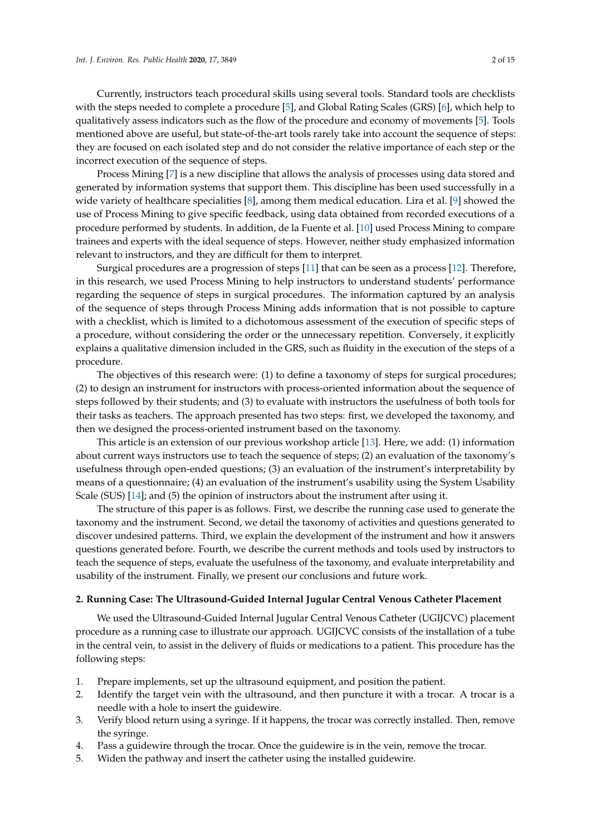Currently, instructors teach procedural skills using several tools. Standard tools are checklists with the steps needed to complete a procedure [\[5\]](#page-13-4), and Global Rating Scales (GRS) [\[6\]](#page-13-5), which help to qualitatively assess indicators such as the flow of the procedure and economy of movements [\[5\]](#page-13-4). Tools mentioned above are useful, but state-of-the-art tools rarely take into account the sequence of steps: they are focused on each isolated step and do not consider the relative importance of each step or the incorrect execution of the sequence of steps.

Process Mining [\[7\]](#page-13-6) is a new discipline that allows the analysis of processes using data stored and generated by information systems that support them. This discipline has been used successfully in a wide variety of healthcare specialities [\[8\]](#page-13-7), among them medical education. Lira et al. [\[9\]](#page-13-8) showed the use of Process Mining to give specific feedback, using data obtained from recorded executions of a procedure performed by students. In addition, de la Fuente et al. [\[10\]](#page-13-9) used Process Mining to compare trainees and experts with the ideal sequence of steps. However, neither study emphasized information relevant to instructors, and they are difficult for them to interpret.

Surgical procedures are a progression of steps [\[11\]](#page-13-10) that can be seen as a process [\[12\]](#page-13-11). Therefore, in this research, we used Process Mining to help instructors to understand students' performance regarding the sequence of steps in surgical procedures. The information captured by an analysis of the sequence of steps through Process Mining adds information that is not possible to capture with a checklist, which is limited to a dichotomous assessment of the execution of specific steps of a procedure, without considering the order or the unnecessary repetition. Conversely, it explicitly explains a qualitative dimension included in the GRS, such as fluidity in the execution of the steps of a procedure.

The objectives of this research were: (1) to define a taxonomy of steps for surgical procedures; (2) to design an instrument for instructors with process-oriented information about the sequence of steps followed by their students; and (3) to evaluate with instructors the usefulness of both tools for their tasks as teachers. The approach presented has two steps: first, we developed the taxonomy, and then we designed the process-oriented instrument based on the taxonomy.

This article is an extension of our previous workshop article [\[13\]](#page-13-12). Here, we add: (1) information about current ways instructors use to teach the sequence of steps; (2) an evaluation of the taxonomy's usefulness through open-ended questions; (3) an evaluation of the instrument's interpretability by means of a questionnaire; (4) an evaluation of the instrument's usability using the System Usability Scale (SUS) [\[14\]](#page-13-13); and (5) the opinion of instructors about the instrument after using it.

The structure of this paper is as follows. First, we describe the running case used to generate the taxonomy and the instrument. Second, we detail the taxonomy of activities and questions generated to discover undesired patterns. Third, we explain the development of the instrument and how it answers questions generated before. Fourth, we describe the current methods and tools used by instructors to teach the sequence of steps, evaluate the usefulness of the taxonomy, and evaluate interpretability and usability of the instrument. Finally, we present our conclusions and future work.

#### **2. Running Case: The Ultrasound-Guided Internal Jugular Central Venous Catheter Placement**

We used the Ultrasound-Guided Internal Jugular Central Venous Catheter (UGIJCVC) placement procedure as a running case to illustrate our approach. UGIJCVC consists of the installation of a tube in the central vein, to assist in the delivery of fluids or medications to a patient. This procedure has the following steps:

- 1. Prepare implements, set up the ultrasound equipment, and position the patient.
- 2. Identify the target vein with the ultrasound, and then puncture it with a trocar. A trocar is a needle with a hole to insert the guidewire.
- 3. Verify blood return using a syringe. If it happens, the trocar was correctly installed. Then, remove the syringe.
- 4. Pass a guidewire through the trocar. Once the guidewire is in the vein, remove the trocar.
- 5. Widen the pathway and insert the catheter using the installed guidewire.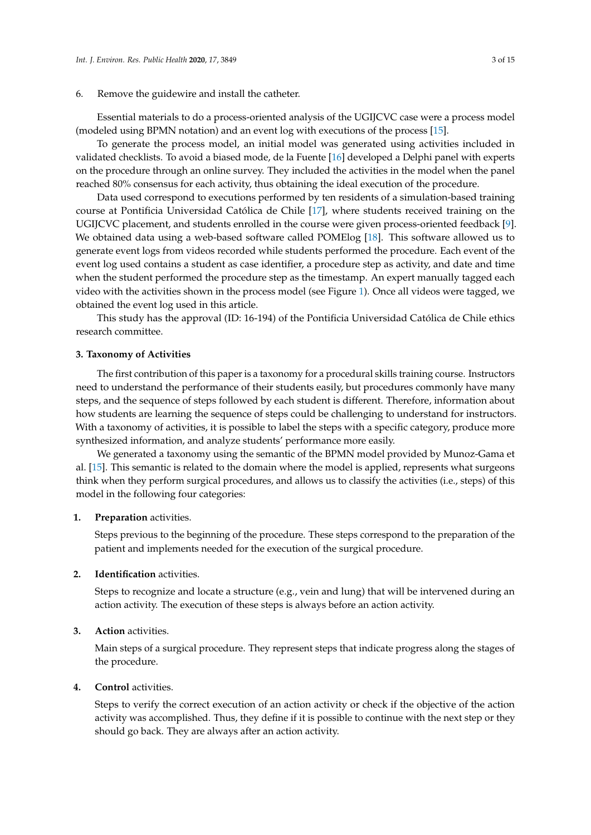## 6. Remove the guidewire and install the catheter.

Essential materials to do a process-oriented analysis of the UGIJCVC case were a process model (modeled using BPMN notation) and an event log with executions of the process [\[15\]](#page-13-14).

To generate the process model, an initial model was generated using activities included in validated checklists. To avoid a biased mode, de la Fuente [\[16\]](#page-13-15) developed a Delphi panel with experts on the procedure through an online survey. They included the activities in the model when the panel reached 80% consensus for each activity, thus obtaining the ideal execution of the procedure.

Data used correspond to executions performed by ten residents of a simulation-based training course at Pontificia Universidad Católica de Chile [\[17\]](#page-13-16), where students received training on the UGIJCVC placement, and students enrolled in the course were given process-oriented feedback [\[9\]](#page-13-8). We obtained data using a web-based software called POMElog [\[18\]](#page-14-0). This software allowed us to generate event logs from videos recorded while students performed the procedure. Each event of the event log used contains a student as case identifier, a procedure step as activity, and date and time when the student performed the procedure step as the timestamp. An expert manually tagged each video with the activities shown in the process model (see Figure [1\)](#page-3-0). Once all videos were tagged, we obtained the event log used in this article.

This study has the approval (ID: 16-194) of the Pontificia Universidad Católica de Chile ethics research committee.

## <span id="page-2-0"></span>**3. Taxonomy of Activities**

The first contribution of this paper is a taxonomy for a procedural skills training course. Instructors need to understand the performance of their students easily, but procedures commonly have many steps, and the sequence of steps followed by each student is different. Therefore, information about how students are learning the sequence of steps could be challenging to understand for instructors. With a taxonomy of activities, it is possible to label the steps with a specific category, produce more synthesized information, and analyze students' performance more easily.

We generated a taxonomy using the semantic of the BPMN model provided by Munoz-Gama et al. [\[15\]](#page-13-14). This semantic is related to the domain where the model is applied, represents what surgeons think when they perform surgical procedures, and allows us to classify the activities (i.e., steps) of this model in the following four categories:

#### **1. Preparation** activities.

Steps previous to the beginning of the procedure. These steps correspond to the preparation of the patient and implements needed for the execution of the surgical procedure.

### **2. Identification** activities.

Steps to recognize and locate a structure (e.g., vein and lung) that will be intervened during an action activity. The execution of these steps is always before an action activity.

## **3. Action** activities.

Main steps of a surgical procedure. They represent steps that indicate progress along the stages of the procedure.

## **4. Control** activities.

Steps to verify the correct execution of an action activity or check if the objective of the action activity was accomplished. Thus, they define if it is possible to continue with the next step or they should go back. They are always after an action activity.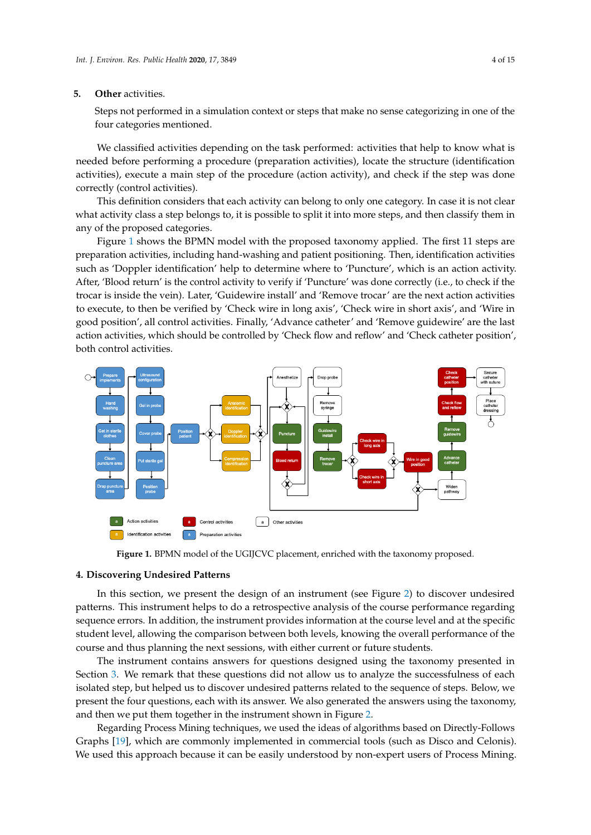#### **5. Other** activities.

Steps not performed in a simulation context or steps that make no sense categorizing in one of the four categories mentioned.

We classified activities depending on the task performed: activities that help to know what is needed before performing a procedure (preparation activities), locate the structure (identification activities), execute a main step of the procedure (action activity), and check if the step was done correctly (control activities).

This definition considers that each activity can belong to only one category. In case it is not clear what activity class a step belongs to, it is possible to split it into more steps, and then classify them in any of the proposed categories.

Figure [1](#page-3-0) shows the BPMN model with the proposed taxonomy applied. The first 11 steps are preparation activities, including hand-washing and patient positioning. Then, identification activities such as 'Doppler identification' help to determine where to 'Puncture', which is an action activity. After, 'Blood return' is the control activity to verify if 'Puncture' was done correctly (i.e., to check if the trocar is inside the vein). Later, 'Guidewire install' and 'Remove trocar' are the next action activities to execute, to then be verified by 'Check wire in long axis', 'Check wire in short axis', and 'Wire in good position', all control activities. Finally, 'Advance catheter' and 'Remove guidewire' are the last action activities, which should be controlled by 'Check flow and reflow' and 'Check catheter position', both control activities.

<span id="page-3-0"></span>

**Figure 1.** BPMN model of the UGIJCVC placement, enriched with the taxonomy proposed.

#### **4. Discovering Undesired Patterns**

In this section, we present the design of an instrument (see Figure [2\)](#page-4-0) to discover undesired patterns. This instrument helps to do a retrospective analysis of the course performance regarding sequence errors. In addition, the instrument provides information at the course level and at the specific student level, allowing the comparison between both levels, knowing the overall performance of the course and thus planning the next sessions, with either current or future students.

The instrument contains answers for questions designed using the taxonomy presented in Section [3.](#page-2-0) We remark that these questions did not allow us to analyze the successfulness of each isolated step, but helped us to discover undesired patterns related to the sequence of steps. Below, we present the four questions, each with its answer. We also generated the answers using the taxonomy, and then we put them together in the instrument shown in Figure [2.](#page-4-0)

Regarding Process Mining techniques, we used the ideas of algorithms based on Directly-Follows Graphs [\[19\]](#page-14-1), which are commonly implemented in commercial tools (such as Disco and Celonis). We used this approach because it can be easily understood by non-expert users of Process Mining.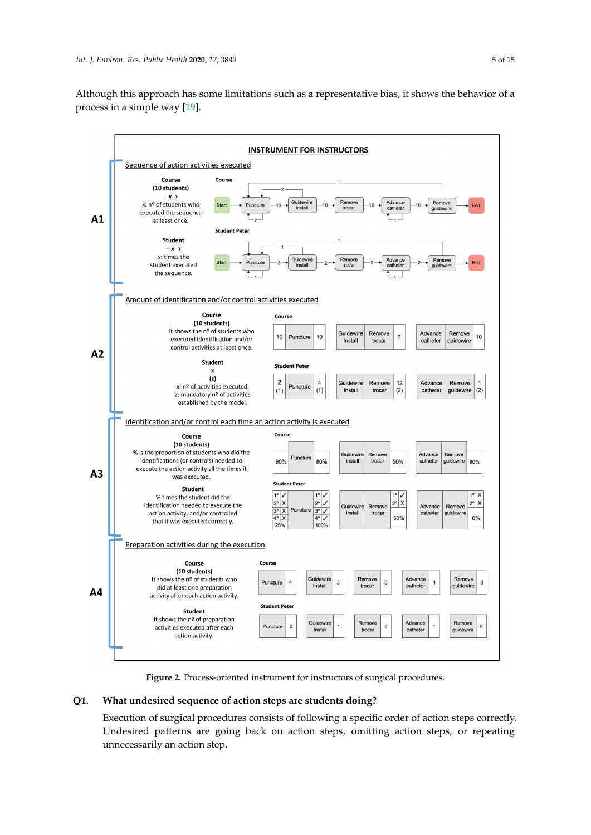Although this approach has some limitations such as a representative bias, it shows the behavior of a process in a simple way [\[19\]](#page-14-1).

<span id="page-4-0"></span>

**Figure 2.** Process-oriented instrument for instructors of surgical procedures.

# **Q1. What undesired sequence of action steps are students doing?**

Execution of surgical procedures consists of following a specific order of action steps correctly. Undesired patterns are going back on action steps, omitting action steps, or repeating unnecessarily an action step.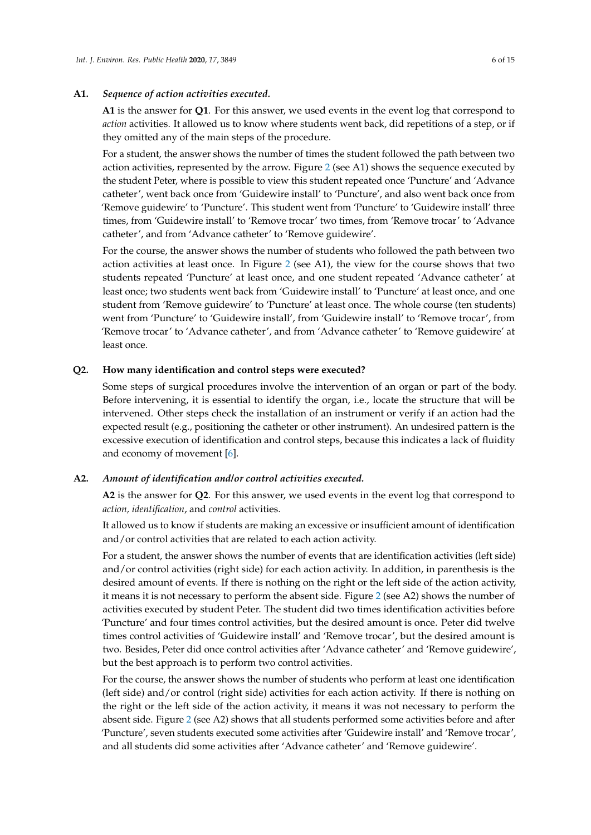## **A1.** *Sequence of action activities executed.*

**A1** is the answer for **Q1**. For this answer, we used events in the event log that correspond to *action* activities. It allowed us to know where students went back, did repetitions of a step, or if they omitted any of the main steps of the procedure.

For a student, the answer shows the number of times the student followed the path between two action activities, represented by the arrow. Figure [2](#page-4-0) (see A1) shows the sequence executed by the student Peter, where is possible to view this student repeated once 'Puncture' and 'Advance catheter', went back once from 'Guidewire install' to 'Puncture', and also went back once from 'Remove guidewire' to 'Puncture'. This student went from 'Puncture' to 'Guidewire install' three times, from 'Guidewire install' to 'Remove trocar' two times, from 'Remove trocar' to 'Advance catheter', and from 'Advance catheter' to 'Remove guidewire'.

For the course, the answer shows the number of students who followed the path between two action activities at least once. In Figure [2](#page-4-0) (see A1), the view for the course shows that two students repeated 'Puncture' at least once, and one student repeated 'Advance catheter' at least once; two students went back from 'Guidewire install' to 'Puncture' at least once, and one student from 'Remove guidewire' to 'Puncture' at least once. The whole course (ten students) went from 'Puncture' to 'Guidewire install', from 'Guidewire install' to 'Remove trocar', from 'Remove trocar' to 'Advance catheter', and from 'Advance catheter' to 'Remove guidewire' at least once.

## **Q2. How many identification and control steps were executed?**

Some steps of surgical procedures involve the intervention of an organ or part of the body. Before intervening, it is essential to identify the organ, i.e., locate the structure that will be intervened. Other steps check the installation of an instrument or verify if an action had the expected result (e.g., positioning the catheter or other instrument). An undesired pattern is the excessive execution of identification and control steps, because this indicates a lack of fluidity and economy of movement [\[6\]](#page-13-5).

## **A2.** *Amount of identification and/or control activities executed.*

**A2** is the answer for **Q2**. For this answer, we used events in the event log that correspond to *action, identification*, and *control* activities.

It allowed us to know if students are making an excessive or insufficient amount of identification and/or control activities that are related to each action activity.

For a student, the answer shows the number of events that are identification activities (left side) and/or control activities (right side) for each action activity. In addition, in parenthesis is the desired amount of events. If there is nothing on the right or the left side of the action activity, it means it is not necessary to perform the absent side. Figure [2](#page-4-0) (see A2) shows the number of activities executed by student Peter. The student did two times identification activities before 'Puncture' and four times control activities, but the desired amount is once. Peter did twelve times control activities of 'Guidewire install' and 'Remove trocar', but the desired amount is two. Besides, Peter did once control activities after 'Advance catheter' and 'Remove guidewire', but the best approach is to perform two control activities.

For the course, the answer shows the number of students who perform at least one identification (left side) and/or control (right side) activities for each action activity. If there is nothing on the right or the left side of the action activity, it means it was not necessary to perform the absent side. Figure [2](#page-4-0) (see A2) shows that all students performed some activities before and after 'Puncture', seven students executed some activities after 'Guidewire install' and 'Remove trocar', and all students did some activities after 'Advance catheter' and 'Remove guidewire'.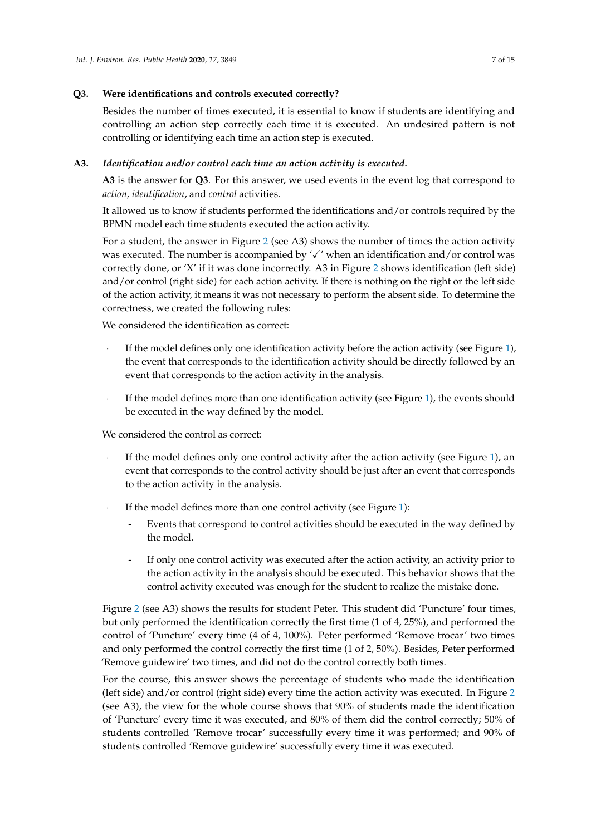# **Q3. Were identifications and controls executed correctly?**

Besides the number of times executed, it is essential to know if students are identifying and controlling an action step correctly each time it is executed. An undesired pattern is not controlling or identifying each time an action step is executed.

# **A3.** *Identification and/or control each time an action activity is executed.*

**A3** is the answer for **Q3**. For this answer, we used events in the event log that correspond to *action, identification*, and *control* activities.

It allowed us to know if students performed the identifications and/or controls required by the BPMN model each time students executed the action activity.

For a student, the answer in Figure [2](#page-4-0) (see A3) shows the number of times the action activity was executed. The number is accompanied by  $\checkmark$  when an identification and/or control was correctly done, or 'X' if it was done incorrectly. A3 in Figure [2](#page-4-0) shows identification (left side) and/or control (right side) for each action activity. If there is nothing on the right or the left side of the action activity, it means it was not necessary to perform the absent side. To determine the correctness, we created the following rules:

We considered the identification as correct:

- · If the model defines only one identification activity before the action activity (see Figure [1\)](#page-3-0), the event that corresponds to the identification activity should be directly followed by an event that corresponds to the action activity in the analysis.
- If the model defines more than one identification activity (see Figure [1\)](#page-3-0), the events should be executed in the way defined by the model.

We considered the control as correct:

- If the model defines only one control activity after the action activity (see Figure [1\)](#page-3-0), an event that corresponds to the control activity should be just after an event that corresponds to the action activity in the analysis.
- If the model defines more than one control activity (see Figure [1\)](#page-3-0):
	- Events that correspond to control activities should be executed in the way defined by the model.
	- If only one control activity was executed after the action activity, an activity prior to the action activity in the analysis should be executed. This behavior shows that the control activity executed was enough for the student to realize the mistake done.

Figure [2](#page-4-0) (see A3) shows the results for student Peter. This student did 'Puncture' four times, but only performed the identification correctly the first time (1 of 4, 25%), and performed the control of 'Puncture' every time (4 of 4, 100%). Peter performed 'Remove trocar' two times and only performed the control correctly the first time (1 of 2, 50%). Besides, Peter performed 'Remove guidewire' two times, and did not do the control correctly both times.

For the course, this answer shows the percentage of students who made the identification (left side) and/or control (right side) every time the action activity was executed. In Figure [2](#page-4-0) (see A3), the view for the whole course shows that 90% of students made the identification of 'Puncture' every time it was executed, and 80% of them did the control correctly; 50% of students controlled 'Remove trocar' successfully every time it was performed; and 90% of students controlled 'Remove guidewire' successfully every time it was executed.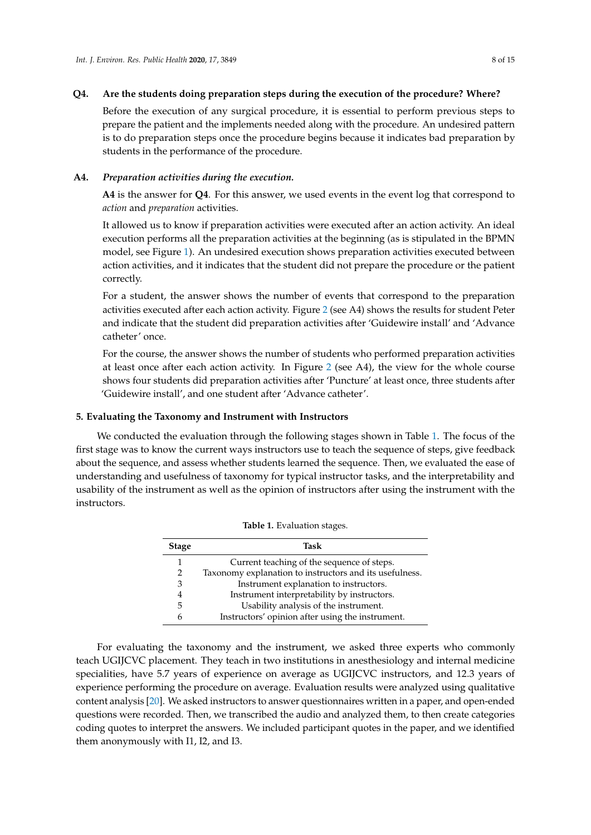## **Q4. Are the students doing preparation steps during the execution of the procedure? Where?**

Before the execution of any surgical procedure, it is essential to perform previous steps to prepare the patient and the implements needed along with the procedure. An undesired pattern is to do preparation steps once the procedure begins because it indicates bad preparation by students in the performance of the procedure.

## **A4.** *Preparation activities during the execution.*

**A4** is the answer for **Q4**. For this answer, we used events in the event log that correspond to *action* and *preparation* activities.

It allowed us to know if preparation activities were executed after an action activity. An ideal execution performs all the preparation activities at the beginning (as is stipulated in the BPMN model, see Figure [1\)](#page-3-0). An undesired execution shows preparation activities executed between action activities, and it indicates that the student did not prepare the procedure or the patient correctly.

For a student, the answer shows the number of events that correspond to the preparation activities executed after each action activity. Figure [2](#page-4-0) (see A4) shows the results for student Peter and indicate that the student did preparation activities after 'Guidewire install' and 'Advance catheter' once.

For the course, the answer shows the number of students who performed preparation activities at least once after each action activity. In Figure [2](#page-4-0) (see A4), the view for the whole course shows four students did preparation activities after 'Puncture' at least once, three students after 'Guidewire install', and one student after 'Advance catheter'.

## **5. Evaluating the Taxonomy and Instrument with Instructors**

<span id="page-7-0"></span>We conducted the evaluation through the following stages shown in Table [1.](#page-7-0) The focus of the first stage was to know the current ways instructors use to teach the sequence of steps, give feedback about the sequence, and assess whether students learned the sequence. Then, we evaluated the ease of understanding and usefulness of taxonomy for typical instructor tasks, and the interpretability and usability of the instrument as well as the opinion of instructors after using the instrument with the instructors.

| <b>Stage</b> | Task                                                    |
|--------------|---------------------------------------------------------|
|              | Current teaching of the sequence of steps.              |
| 2            | Taxonomy explanation to instructors and its usefulness. |
| 3            | Instrument explanation to instructors.                  |
| 4            | Instrument interpretability by instructors.             |
| 5            | Usability analysis of the instrument.                   |
| 6            | Instructors' opinion after using the instrument.        |

|  |  |  | Table 1. Evaluation stages. |  |
|--|--|--|-----------------------------|--|
|--|--|--|-----------------------------|--|

For evaluating the taxonomy and the instrument, we asked three experts who commonly teach UGIJCVC placement. They teach in two institutions in anesthesiology and internal medicine specialities, have 5.7 years of experience on average as UGIJCVC instructors, and 12.3 years of experience performing the procedure on average. Evaluation results were analyzed using qualitative content analysis [\[20\]](#page-14-2). We asked instructors to answer questionnaires written in a paper, and open-ended questions were recorded. Then, we transcribed the audio and analyzed them, to then create categories coding quotes to interpret the answers. We included participant quotes in the paper, and we identified them anonymously with I1, I2, and I3.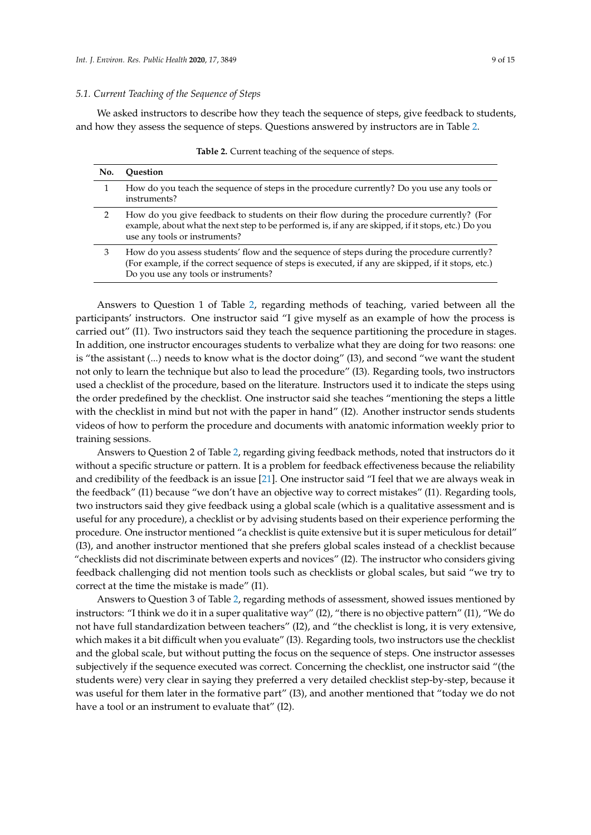#### *5.1. Current Teaching of the Sequence of Steps*

<span id="page-8-0"></span>We asked instructors to describe how they teach the sequence of steps, give feedback to students, and how they assess the sequence of steps. Questions answered by instructors are in Table [2.](#page-8-0)

| No. | <b>Ouestion</b>                                                                                                                                                                                                                          |
|-----|------------------------------------------------------------------------------------------------------------------------------------------------------------------------------------------------------------------------------------------|
|     | How do you teach the sequence of steps in the procedure currently? Do you use any tools or<br>instruments?                                                                                                                               |
|     | How do you give feedback to students on their flow during the procedure currently? (For<br>example, about what the next step to be performed is, if any are skipped, if it stops, etc.) Do you<br>use any tools or instruments?          |
|     | How do you assess students' flow and the sequence of steps during the procedure currently?<br>(For example, if the correct sequence of steps is executed, if any are skipped, if it stops, etc.)<br>Do you use any tools or instruments? |

**Table 2.** Current teaching of the sequence of steps.

Answers to Question 1 of Table [2,](#page-8-0) regarding methods of teaching, varied between all the participants' instructors. One instructor said "I give myself as an example of how the process is carried out" (I1). Two instructors said they teach the sequence partitioning the procedure in stages. In addition, one instructor encourages students to verbalize what they are doing for two reasons: one is "the assistant (...) needs to know what is the doctor doing" (I3), and second "we want the student not only to learn the technique but also to lead the procedure" (I3). Regarding tools, two instructors used a checklist of the procedure, based on the literature. Instructors used it to indicate the steps using the order predefined by the checklist. One instructor said she teaches "mentioning the steps a little with the checklist in mind but not with the paper in hand" (I2). Another instructor sends students videos of how to perform the procedure and documents with anatomic information weekly prior to training sessions.

Answers to Question 2 of Table [2,](#page-8-0) regarding giving feedback methods, noted that instructors do it without a specific structure or pattern. It is a problem for feedback effectiveness because the reliability and credibility of the feedback is an issue [\[21\]](#page-14-3). One instructor said "I feel that we are always weak in the feedback" (I1) because "we don't have an objective way to correct mistakes" (I1). Regarding tools, two instructors said they give feedback using a global scale (which is a qualitative assessment and is useful for any procedure), a checklist or by advising students based on their experience performing the procedure. One instructor mentioned "a checklist is quite extensive but it is super meticulous for detail" (I3), and another instructor mentioned that she prefers global scales instead of a checklist because "checklists did not discriminate between experts and novices" (I2). The instructor who considers giving feedback challenging did not mention tools such as checklists or global scales, but said "we try to correct at the time the mistake is made" (I1).

Answers to Question 3 of Table [2,](#page-8-0) regarding methods of assessment, showed issues mentioned by instructors: "I think we do it in a super qualitative way" (I2), "there is no objective pattern" (I1), "We do not have full standardization between teachers" (I2), and "the checklist is long, it is very extensive, which makes it a bit difficult when you evaluate" (I3). Regarding tools, two instructors use the checklist and the global scale, but without putting the focus on the sequence of steps. One instructor assesses subjectively if the sequence executed was correct. Concerning the checklist, one instructor said "(the students were) very clear in saying they preferred a very detailed checklist step-by-step, because it was useful for them later in the formative part" (I3), and another mentioned that "today we do not have a tool or an instrument to evaluate that" (I2).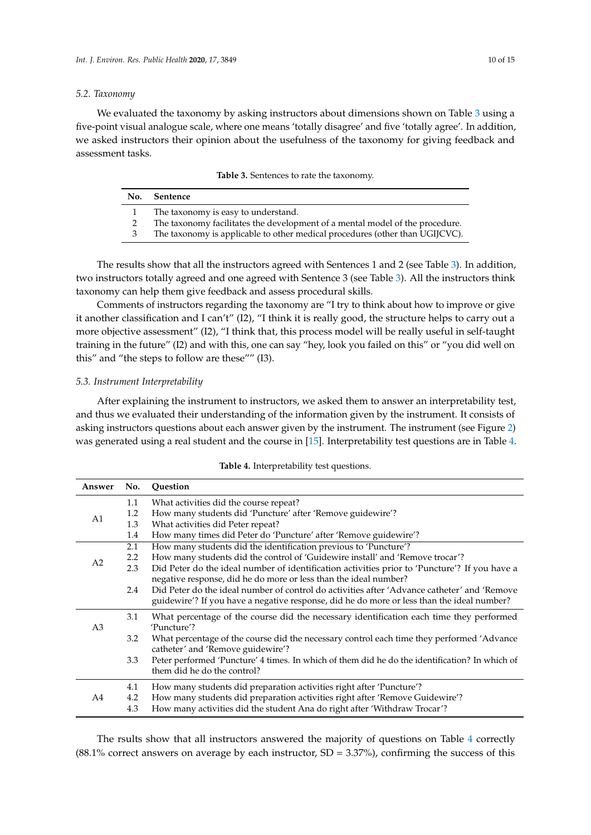#### *5.2. Taxonomy*

<span id="page-9-0"></span>We evaluated the taxonomy by asking instructors about dimensions shown on Table  $3$  using a five-point visual analogue scale, where one means 'totally disagree' and five 'totally agree'. In addition, we asked instructors their opinion about the usefulness of the taxonomy for giving feedback and assessment tasks.

|  |  | Table 3. Sentences to rate the taxonomy. |  |
|--|--|------------------------------------------|--|
|--|--|------------------------------------------|--|

| No. | Sentence                                                                     |
|-----|------------------------------------------------------------------------------|
|     | The taxonomy is easy to understand.                                          |
|     | The taxonomy facilitates the development of a mental model of the procedure. |
|     | The taxonomy is applicable to other medical procedures (other than UGIJCVC). |

The results show that all the instructors agreed with Sentences 1 and 2 (see Table [3\)](#page-9-0). In addition, two instructors totally agreed and one agreed with Sentence 3 (see Table [3\)](#page-9-0). All the instructors think taxonomy can help them give feedback and assess procedural skills.

Comments of instructors regarding the taxonomy are "I try to think about how to improve or give it another classification and I can't" (I2), "I think it is really good, the structure helps to carry out a more objective assessment" (I2), "I think that, this process model will be really useful in self-taught training in the future" (I2) and with this, one can say "hey, look you failed on this" or "you did well on this" and "the steps to follow are these"" (I3).

## *5.3. Instrument Interpretability*

After explaining the instrument to instructors, we asked them to answer an interpretability test, and thus we evaluated their understanding of the information given by the instrument. It consists of asking instructors questions about each answer given by the instrument. The instrument (see Figure [2\)](#page-4-0) was generated using a real student and the course in [\[15\]](#page-13-14). Interpretability test questions are in Table [4.](#page-9-1)

<span id="page-9-1"></span>

| Answer         | No.              | Question                                                                                       |
|----------------|------------------|------------------------------------------------------------------------------------------------|
|                | 1.1              | What activities did the course repeat?                                                         |
| A1             | 1.2              | How many students did 'Puncture' after 'Remove guidewire'?                                     |
|                | 1.3              | What activities did Peter repeat?                                                              |
|                | 1.4              | How many times did Peter do 'Puncture' after 'Remove guidewire'?                               |
|                | 2.1              | How many students did the identification previous to 'Puncture'?                               |
| A <sub>2</sub> | $2.2\phantom{0}$ | How many students did the control of 'Guidewire install' and 'Remove trocar'?                  |
|                | 2.3              | Did Peter do the ideal number of identification activities prior to 'Puncture'? If you have a  |
|                |                  | negative response, did he do more or less than the ideal number?                               |
|                | 2.4              | Did Peter do the ideal number of control do activities after 'Advance catheter' and 'Remove    |
|                |                  | guidewire'? If you have a negative response, did he do more or less than the ideal number?     |
|                | 3.1              | What percentage of the course did the necessary identification each time they performed        |
| A <sub>3</sub> |                  | 'Puncture'?                                                                                    |
|                | 3.2              | What percentage of the course did the necessary control each time they performed 'Advance      |
|                |                  | catheter' and 'Remove guidewire'?                                                              |
|                | 3.3              | Peter performed 'Puncture' 4 times. In which of them did he do the identification? In which of |
|                |                  | them did he do the control?                                                                    |
| A4             | 4.1              | How many students did preparation activities right after 'Puncture'?                           |
|                | 4.2              | How many students did preparation activities right after 'Remove Guidewire'?                   |
|                | 4.3              | How many activities did the student Ana do right after 'Withdraw Trocar'?                      |

**Table 4.** Interpretability test questions.

The rsults show that all instructors answered the majority of questions on Table [4](#page-9-1) correctly  $(88.1\%$  correct answers on average by each instructor, SD = 3.37%), confirming the success of this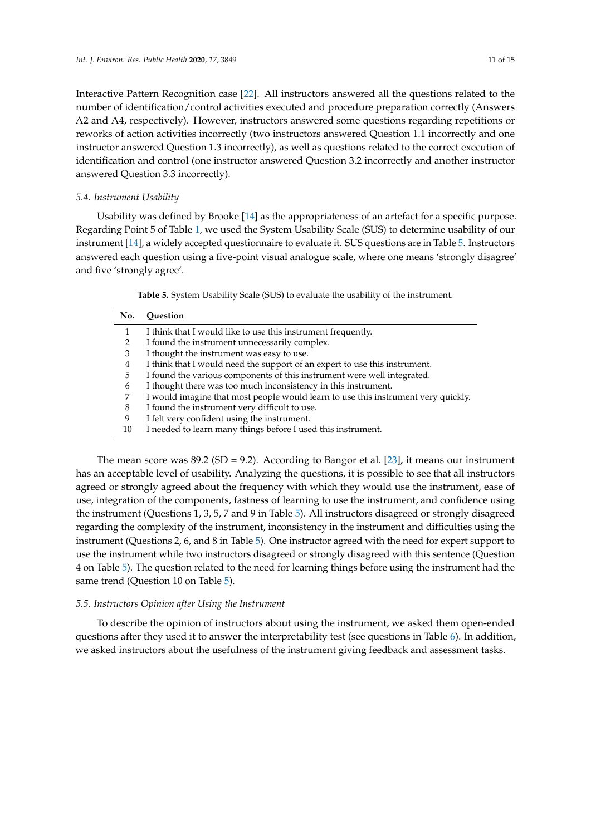Interactive Pattern Recognition case [\[22\]](#page-14-4). All instructors answered all the questions related to the number of identification/control activities executed and procedure preparation correctly (Answers A2 and A4, respectively). However, instructors answered some questions regarding repetitions or reworks of action activities incorrectly (two instructors answered Question 1.1 incorrectly and one instructor answered Question 1.3 incorrectly), as well as questions related to the correct execution of identification and control (one instructor answered Question 3.2 incorrectly and another instructor answered Question 3.3 incorrectly).

## *5.4. Instrument Usability*

Usability was defined by Brooke [\[14\]](#page-13-13) as the appropriateness of an artefact for a specific purpose. Regarding Point 5 of Table [1,](#page-7-0) we used the System Usability Scale (SUS) to determine usability of our instrument [\[14\]](#page-13-13), a widely accepted questionnaire to evaluate it. SUS questions are in Table [5.](#page-10-0) Instructors answered each question using a five-point visual analogue scale, where one means 'strongly disagree' and five 'strongly agree'.

**Table 5.** System Usability Scale (SUS) to evaluate the usability of the instrument.

<span id="page-10-0"></span>

| No. | <b>Ouestion</b>                                                                   |
|-----|-----------------------------------------------------------------------------------|
|     | I think that I would like to use this instrument frequently.                      |
|     | I found the instrument unnecessarily complex.                                     |
| 3   | I thought the instrument was easy to use.                                         |
| 4   | I think that I would need the support of an expert to use this instrument.        |
| 5   | I found the various components of this instrument were well integrated.           |
| b   | I thought there was too much inconsistency in this instrument.                    |
|     | I would imagine that most people would learn to use this instrument very quickly. |
| 8   | I found the instrument very difficult to use.                                     |
| 9   | I felt very confident using the instrument.                                       |
| 10  | I needed to learn many things before I used this instrument.                      |

The mean score was  $89.2$  (SD = 9.2). According to Bangor et al. [\[23\]](#page-14-5), it means our instrument has an acceptable level of usability. Analyzing the questions, it is possible to see that all instructors agreed or strongly agreed about the frequency with which they would use the instrument, ease of use, integration of the components, fastness of learning to use the instrument, and confidence using the instrument (Questions 1, 3, 5, 7 and 9 in Table [5\)](#page-10-0). All instructors disagreed or strongly disagreed regarding the complexity of the instrument, inconsistency in the instrument and difficulties using the instrument (Questions 2, 6, and 8 in Table [5\)](#page-10-0). One instructor agreed with the need for expert support to use the instrument while two instructors disagreed or strongly disagreed with this sentence (Question 4 on Table [5\)](#page-10-0). The question related to the need for learning things before using the instrument had the same trend (Question 10 on Table [5\)](#page-10-0).

## *5.5. Instructors Opinion after Using the Instrument*

To describe the opinion of instructors about using the instrument, we asked them open-ended questions after they used it to answer the interpretability test (see questions in Table [6\)](#page-11-0). In addition, we asked instructors about the usefulness of the instrument giving feedback and assessment tasks.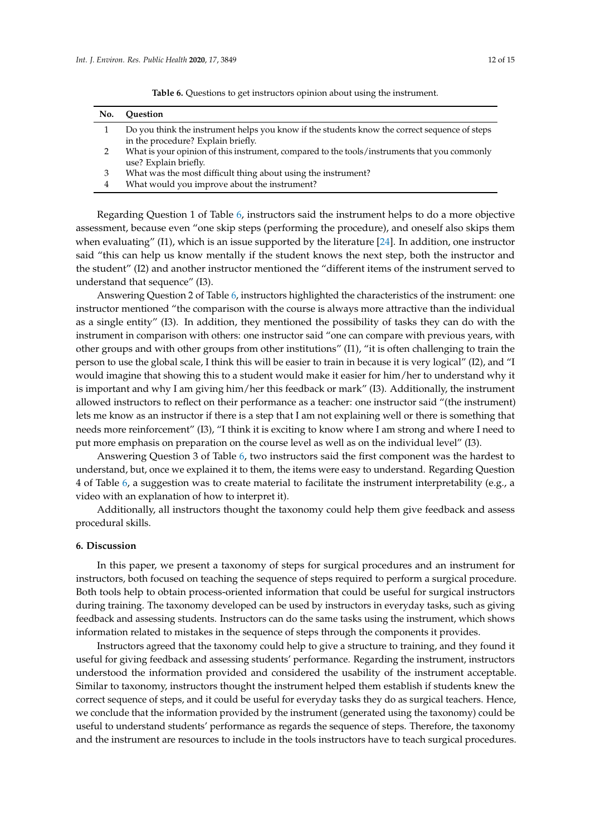<span id="page-11-0"></span>**Table 6.** Questions to get instructors opinion about using the instrument.

- 3 What was the most difficult thing about using the instrument?
- 4 What would you improve about the instrument?

Regarding Question 1 of Table [6,](#page-11-0) instructors said the instrument helps to do a more objective assessment, because even "one skip steps (performing the procedure), and oneself also skips them when evaluating" (I1), which is an issue supported by the literature [\[24\]](#page-14-6). In addition, one instructor said "this can help us know mentally if the student knows the next step, both the instructor and the student" (I2) and another instructor mentioned the "different items of the instrument served to understand that sequence" (I3).

Answering Question 2 of Table [6,](#page-11-0) instructors highlighted the characteristics of the instrument: one instructor mentioned "the comparison with the course is always more attractive than the individual as a single entity" (I3). In addition, they mentioned the possibility of tasks they can do with the instrument in comparison with others: one instructor said "one can compare with previous years, with other groups and with other groups from other institutions" (I1), "it is often challenging to train the person to use the global scale, I think this will be easier to train in because it is very logical" (I2), and "I would imagine that showing this to a student would make it easier for him/her to understand why it is important and why I am giving him/her this feedback or mark" (I3). Additionally, the instrument allowed instructors to reflect on their performance as a teacher: one instructor said "(the instrument) lets me know as an instructor if there is a step that I am not explaining well or there is something that needs more reinforcement" (I3), "I think it is exciting to know where I am strong and where I need to put more emphasis on preparation on the course level as well as on the individual level" (I3).

Answering Question 3 of Table [6,](#page-11-0) two instructors said the first component was the hardest to understand, but, once we explained it to them, the items were easy to understand. Regarding Question 4 of Table [6,](#page-11-0) a suggestion was to create material to facilitate the instrument interpretability (e.g., a video with an explanation of how to interpret it).

Additionally, all instructors thought the taxonomy could help them give feedback and assess procedural skills.

## **6. Discussion**

In this paper, we present a taxonomy of steps for surgical procedures and an instrument for instructors, both focused on teaching the sequence of steps required to perform a surgical procedure. Both tools help to obtain process-oriented information that could be useful for surgical instructors during training. The taxonomy developed can be used by instructors in everyday tasks, such as giving feedback and assessing students. Instructors can do the same tasks using the instrument, which shows information related to mistakes in the sequence of steps through the components it provides.

Instructors agreed that the taxonomy could help to give a structure to training, and they found it useful for giving feedback and assessing students' performance. Regarding the instrument, instructors understood the information provided and considered the usability of the instrument acceptable. Similar to taxonomy, instructors thought the instrument helped them establish if students knew the correct sequence of steps, and it could be useful for everyday tasks they do as surgical teachers. Hence, we conclude that the information provided by the instrument (generated using the taxonomy) could be useful to understand students' performance as regards the sequence of steps. Therefore, the taxonomy and the instrument are resources to include in the tools instructors have to teach surgical procedures.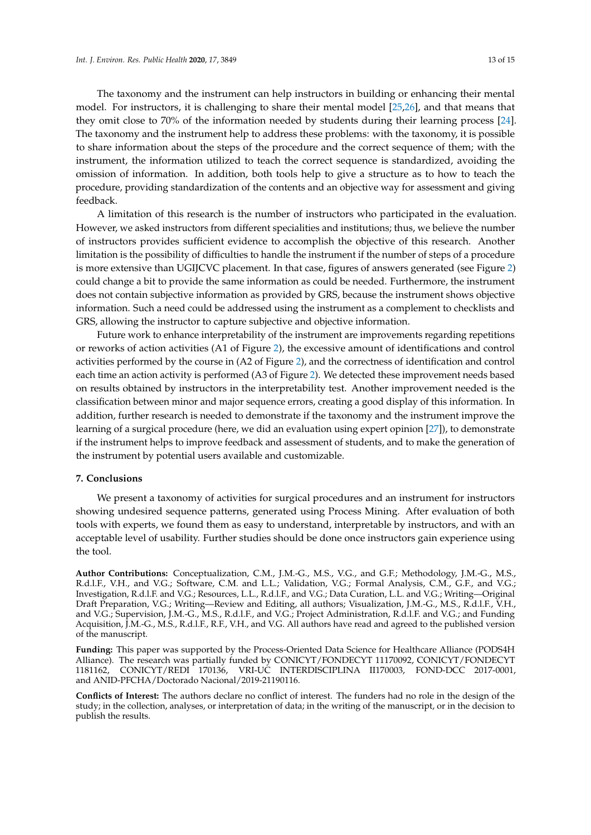The taxonomy and the instrument can help instructors in building or enhancing their mental model. For instructors, it is challenging to share their mental model [\[25](#page-14-7)[,26\]](#page-14-8), and that means that they omit close to 70% of the information needed by students during their learning process [\[24\]](#page-14-6). The taxonomy and the instrument help to address these problems: with the taxonomy, it is possible to share information about the steps of the procedure and the correct sequence of them; with the instrument, the information utilized to teach the correct sequence is standardized, avoiding the omission of information. In addition, both tools help to give a structure as to how to teach the procedure, providing standardization of the contents and an objective way for assessment and giving feedback.

A limitation of this research is the number of instructors who participated in the evaluation. However, we asked instructors from different specialities and institutions; thus, we believe the number of instructors provides sufficient evidence to accomplish the objective of this research. Another limitation is the possibility of difficulties to handle the instrument if the number of steps of a procedure is more extensive than UGIJCVC placement. In that case, figures of answers generated (see Figure [2\)](#page-4-0) could change a bit to provide the same information as could be needed. Furthermore, the instrument does not contain subjective information as provided by GRS, because the instrument shows objective information. Such a need could be addressed using the instrument as a complement to checklists and GRS, allowing the instructor to capture subjective and objective information.

Future work to enhance interpretability of the instrument are improvements regarding repetitions or reworks of action activities (A1 of Figure [2\)](#page-4-0), the excessive amount of identifications and control activities performed by the course in (A2 of Figure [2\)](#page-4-0), and the correctness of identification and control each time an action activity is performed (A3 of Figure [2\)](#page-4-0). We detected these improvement needs based on results obtained by instructors in the interpretability test. Another improvement needed is the classification between minor and major sequence errors, creating a good display of this information. In addition, further research is needed to demonstrate if the taxonomy and the instrument improve the learning of a surgical procedure (here, we did an evaluation using expert opinion [\[27\]](#page-14-9)), to demonstrate if the instrument helps to improve feedback and assessment of students, and to make the generation of the instrument by potential users available and customizable.

## **7. Conclusions**

We present a taxonomy of activities for surgical procedures and an instrument for instructors showing undesired sequence patterns, generated using Process Mining. After evaluation of both tools with experts, we found them as easy to understand, interpretable by instructors, and with an acceptable level of usability. Further studies should be done once instructors gain experience using the tool.

**Author Contributions:** Conceptualization, C.M., J.M.-G., M.S., V.G., and G.F.; Methodology, J.M.-G., M.S., R.d.l.F., V.H., and V.G.; Software, C.M. and L.L.; Validation, V.G.; Formal Analysis, C.M., G.F., and V.G.; Investigation, R.d.l.F. and V.G.; Resources, L.L., R.d.l.F., and V.G.; Data Curation, L.L. and V.G.; Writing—Original Draft Preparation, V.G.; Writing—Review and Editing, all authors; Visualization, J.M.-G., M.S., R.d.l.F., V.H., and V.G.; Supervision, J.M.-G., M.S., R.d.l.F., and V.G.; Project Administration, R.d.l.F. and V.G.; and Funding Acquisition, J.M.-G., M.S., R.d.l.F., R.F., V.H., and V.G. All authors have read and agreed to the published version of the manuscript.

**Funding:** This paper was supported by the Process-Oriented Data Science for Healthcare Alliance (PODS4H Alliance). The research was partially funded by CONICYT/FONDECYT 11170092, CONICYT/FONDECYT 1181162, CONICYT/REDI 170136, VRI-UC INTERDISCIPLINA II170003, FOND-DCC 2017-0001, and ANID-PFCHA/Doctorado Nacional/2019-21190116.

**Conflicts of Interest:** The authors declare no conflict of interest. The funders had no role in the design of the study; in the collection, analyses, or interpretation of data; in the writing of the manuscript, or in the decision to publish the results.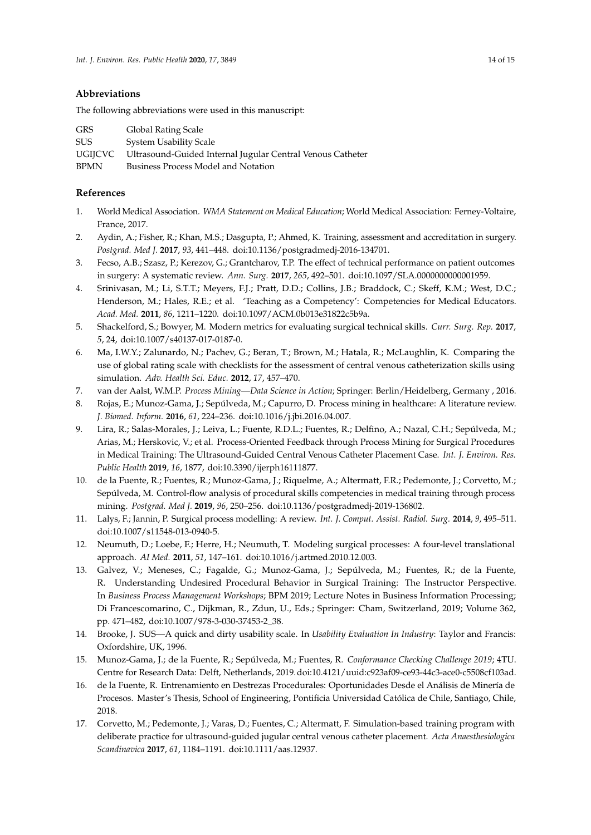# **Abbreviations**

The following abbreviations were used in this manuscript:

| <b>GRS</b> | Global Rating Scale                                        |
|------------|------------------------------------------------------------|
| <b>SUS</b> | System Usability Scale                                     |
| UGIJCVC    | Ultrasound-Guided Internal Jugular Central Venous Catheter |
| BPMN       | Business Process Model and Notation                        |
|            |                                                            |

# **References**

- <span id="page-13-0"></span>1. World Medical Association. *WMA Statement on Medical Education*; World Medical Association: Ferney-Voltaire, France, 2017.
- <span id="page-13-1"></span>2. Aydin, A.; Fisher, R.; Khan, M.S.; Dasgupta, P.; Ahmed, K. Training, assessment and accreditation in surgery. *Postgrad. Med J.* **2017**, *93*, 441–448. doi[:10.1136/postgradmedj-2016-134701.](https://doi.org/10.1136/postgradmedj-2016-134701)
- <span id="page-13-2"></span>3. Fecso, A.B.; Szasz, P.; Kerezov, G.; Grantcharov, T.P. The effect of technical performance on patient outcomes in surgery: A systematic review. *Ann. Surg.* **2017**, *265*, 492–501. doi[:10.1097/SLA.0000000000001959.](https://doi.org/10.1097/SLA.0000000000001959)
- <span id="page-13-3"></span>4. Srinivasan, M.; Li, S.T.T.; Meyers, F.J.; Pratt, D.D.; Collins, J.B.; Braddock, C.; Skeff, K.M.; West, D.C.; Henderson, M.; Hales, R.E.; et al. 'Teaching as a Competency': Competencies for Medical Educators. *Acad. Med.* **2011**, *86*, 1211–1220. doi[:10.1097/ACM.0b013e31822c5b9a.](https://doi.org/10.1097/ACM.0b013e31822c5b9a)
- <span id="page-13-4"></span>5. Shackelford, S.; Bowyer, M. Modern metrics for evaluating surgical technical skills. *Curr. Surg. Rep.* **2017**, *5*, 24, doi[:10.1007/s40137-017-0187-0.](https://doi.org/10.1007/s40137-017-0187-0)
- <span id="page-13-5"></span>6. Ma, I.W.Y.; Zalunardo, N.; Pachev, G.; Beran, T.; Brown, M.; Hatala, R.; McLaughlin, K. Comparing the use of global rating scale with checklists for the assessment of central venous catheterization skills using simulation. *Adv. Health Sci. Educ.* **2012**, *17*, 457–470.
- <span id="page-13-6"></span>7. van der Aalst, W.M.P. *Process Mining—Data Science in Action*; Springer: Berlin/Heidelberg, Germany , 2016.
- <span id="page-13-7"></span>8. Rojas, E.; Munoz-Gama, J.; Sepúlveda, M.; Capurro, D. Process mining in healthcare: A literature review. *J. Biomed. Inform.* **2016**, *61*, 224–236. doi[:10.1016/j.jbi.2016.04.007.](https://doi.org/10.1016/j.jbi.2016.04.007)
- <span id="page-13-8"></span>9. Lira, R.; Salas-Morales, J.; Leiva, L.; Fuente, R.D.L.; Fuentes, R.; Delfino, A.; Nazal, C.H.; Sepúlveda, M.; Arias, M.; Herskovic, V.; et al. Process-Oriented Feedback through Process Mining for Surgical Procedures in Medical Training: The Ultrasound-Guided Central Venous Catheter Placement Case. *Int. J. Environ. Res. Public Health* **2019**, *16*, 1877, doi[:10.3390/ijerph16111877.](https://doi.org/10.3390/ijerph16111877)
- <span id="page-13-9"></span>10. de la Fuente, R.; Fuentes, R.; Munoz-Gama, J.; Riquelme, A.; Altermatt, F.R.; Pedemonte, J.; Corvetto, M.; Sepúlveda, M. Control-flow analysis of procedural skills competencies in medical training through process mining. *Postgrad. Med J.* **2019**, *96*, 250–256. doi[:10.1136/postgradmedj-2019-136802.](https://doi.org/10.1136/postgradmedj-2019-136802)
- <span id="page-13-10"></span>11. Lalys, F.; Jannin, P. Surgical process modelling: A review. *Int. J. Comput. Assist. Radiol. Surg.* **2014**, *9*, 495–511. doi[:10.1007/s11548-013-0940-5.](https://doi.org/10.1007/s11548-013-0940-5)
- <span id="page-13-11"></span>12. Neumuth, D.; Loebe, F.; Herre, H.; Neumuth, T. Modeling surgical processes: A four-level translational approach. *AI Med.* **2011**, *51*, 147–161. doi[:10.1016/j.artmed.2010.12.003.](https://doi.org/10.1016/j.artmed.2010.12.003)
- <span id="page-13-12"></span>13. Galvez, V.; Meneses, C.; Fagalde, G.; Munoz-Gama, J.; Sepúlveda, M.; Fuentes, R.; de la Fuente, R. Understanding Undesired Procedural Behavior in Surgical Training: The Instructor Perspective. In *Business Process Management Workshops*; BPM 2019; Lecture Notes in Business Information Processing; Di Francescomarino, C., Dijkman, R., Zdun, U., Eds.; Springer: Cham, Switzerland, 2019; Volume 362, pp. 471–482, doi[:10.1007/978-3-030-37453-2\\_38.](https://doi.org/10.1007/978-3-030-37453-2_38)
- <span id="page-13-13"></span>14. Brooke, J. SUS—A quick and dirty usability scale. In *Usability Evaluation In Industry*: Taylor and Francis: Oxfordshire, UK, 1996.
- <span id="page-13-14"></span>15. Munoz-Gama, J.; de la Fuente, R.; Sepúlveda, M.; Fuentes, R. *Conformance Checking Challenge 2019*; 4TU. Centre for Research Data: Delft, Netherlands, 2019.doi[:10.4121/uuid:c923af09-ce93-44c3-ace0-c5508cf103ad.](https://doi.org/10.4121/uuid:c923af09-ce93-44c3-ace0-c5508cf103ad)
- <span id="page-13-15"></span>16. de la Fuente, R. Entrenamiento en Destrezas Procedurales: Oportunidades Desde el Análisis de Minería de Procesos. Master's Thesis, School of Engineering, Pontificia Universidad Católica de Chile, Santiago, Chile, 2018.
- <span id="page-13-16"></span>17. Corvetto, M.; Pedemonte, J.; Varas, D.; Fuentes, C.; Altermatt, F. Simulation-based training program with deliberate practice for ultrasound-guided jugular central venous catheter placement. *Acta Anaesthesiologica Scandinavica* **2017**, *61*, 1184–1191. doi[:10.1111/aas.12937.](https://doi.org/10.1111/aas.12937)